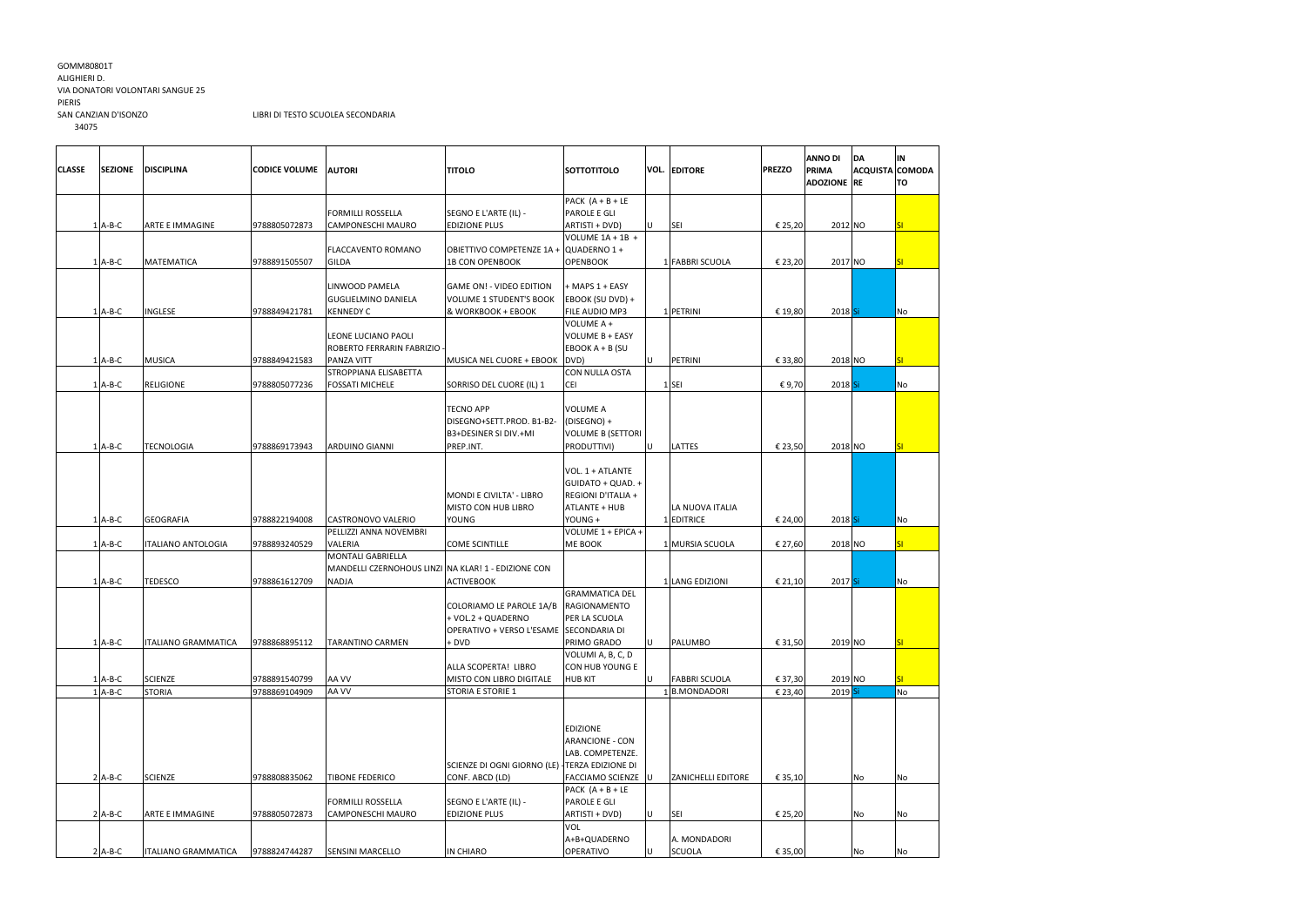## GOMM80801T ALIGHIERI D. VIA DONATORI VOLONTARI SANGUE 25 PIERIS<br>SAN CANZIAN D'ISONZO 34075

## LIBRI DI TESTO SCUOLEA SECONDARIA

| <b>CLASSE</b> | <b>SEZIONE</b> | <b>DISCIPLINA</b>          | <b>CODICE VOLUME</b> | <b>AUTORI</b>                                       | <b>TITOLO</b>                                                          | <b>SOTTOTITOLO</b>                                                                         |     | <b>VOL. EDITORE</b>       | <b>PREZZO</b> | <b>ANNO DI</b><br><b>PRIMA</b><br><b>ADOZIONE</b> RE | <b>DA</b><br><b>ACQUISTA COMODA</b> | IN<br>lTO.       |
|---------------|----------------|----------------------------|----------------------|-----------------------------------------------------|------------------------------------------------------------------------|--------------------------------------------------------------------------------------------|-----|---------------------------|---------------|------------------------------------------------------|-------------------------------------|------------------|
|               |                |                            |                      |                                                     |                                                                        | PACK $(A + B + LE)$                                                                        |     |                           |               |                                                      |                                     |                  |
|               |                |                            |                      | <b>FORMILLI ROSSELLA</b>                            | SEGNO E L'ARTE (IL) -                                                  | PAROLE E GLI                                                                               |     |                           |               |                                                      |                                     |                  |
|               | $1$ A-B-C      | ARTE E IMMAGINE            | 9788805072873        | <b>CAMPONESCHI MAURO</b>                            | <b>EDIZIONE PLUS</b>                                                   | ARTISTI + DVD)                                                                             | U   | <b>SEI</b>                | € 25,20       | 2012 NO                                              |                                     | SI               |
|               |                |                            |                      |                                                     |                                                                        | VOLUME $1A + 1B +$                                                                         |     |                           |               |                                                      |                                     |                  |
|               |                |                            |                      | <b>FLACCAVENTO ROMANO</b>                           | OBIETTIVO COMPETENZE 1A + QUADERNO 1 +                                 |                                                                                            |     |                           |               |                                                      |                                     |                  |
|               | $1$ A-B-C      | <b>MATEMATICA</b>          | 9788891505507        | <b>GILDA</b>                                        | <b>1B CON OPENBOOK</b>                                                 | <b>OPENBOOK</b>                                                                            |     | 1 FABBRI SCUOLA           | € 23,20       | 2017 NO                                              |                                     | SI               |
|               |                |                            |                      |                                                     |                                                                        |                                                                                            |     |                           |               |                                                      |                                     |                  |
|               |                |                            |                      | LINWOOD PAMELA                                      | GAME ON! - VIDEO EDITION                                               | + MAPS 1 + EASY                                                                            |     |                           |               |                                                      |                                     |                  |
|               |                |                            |                      | <b>GUGLIELMINO DANIELA</b>                          | <b>VOLUME 1 STUDENT'S BOOK</b>                                         | EBOOK (SU DVD) +                                                                           |     |                           |               |                                                      |                                     |                  |
|               | $1$ A-B-C      | <b>INGLESE</b>             | 9788849421781        | <b>KENNEDY C</b>                                    | & WORKBOOK + EBOOK                                                     | FILE AUDIO MP3                                                                             |     | 1 PETRINI                 | € 19,80       | $2018$ Si                                            |                                     | <b>No</b>        |
|               |                |                            |                      |                                                     |                                                                        | VOLUME A +                                                                                 |     |                           |               |                                                      |                                     |                  |
|               |                |                            |                      | LEONE LUCIANO PAOLI                                 |                                                                        | VOLUME B + EASY                                                                            |     |                           |               |                                                      |                                     |                  |
|               |                |                            |                      | ROBERTO FERRARIN FABRIZIO                           |                                                                        | EBOOK $A + B$ (SU                                                                          |     |                           |               |                                                      |                                     |                  |
|               | $1$ A-B-C      | <b>MUSICA</b>              | 9788849421583        | PANZA VITT                                          | MUSICA NEL CUORE + EBOOK DVD)                                          |                                                                                            | U   | PETRINI                   | € 33,80       | 2018 NO                                              |                                     | SI               |
|               |                |                            |                      | STROPPIANA ELISABETTA                               |                                                                        | <b>CON NULLA OSTA</b>                                                                      |     |                           |               |                                                      |                                     |                  |
|               | $1$ A-B-C      | <b>RELIGIONE</b>           | 9788805077236        | <b>FOSSATI MICHELE</b>                              | SORRISO DEL CUORE (IL) 1                                               | <b>CEI</b>                                                                                 |     | $1$ SEI                   | €9,70         | 2018 Si                                              |                                     | No               |
|               |                |                            |                      |                                                     | <b>TECNO APP</b><br>DISEGNO+SETT.PROD. B1-B2-<br>B3+DESINER SI DIV.+MI | <b>VOLUME A</b><br>(DISEGNO) +<br><b>VOLUME B (SETTORI</b>                                 |     |                           |               |                                                      |                                     |                  |
|               | $1$ A-B-C      | <b>TECNOLOGIA</b>          | 9788869173943        | <b>ARDUINO GIANNI</b>                               | PREP.INT.                                                              | PRODUTTIVI)                                                                                | lU. | <b>LATTES</b>             | € 23,50       | 2018 NO                                              |                                     | SI               |
|               |                |                            |                      |                                                     | MONDI E CIVILTA' - LIBRO<br><b>MISTO CON HUB LIBRO</b>                 | VOL. 1 + ATLANTE<br>GUIDATO + QUAD. +<br><b>REGIONI D'ITALIA +</b><br><b>ATLANTE + HUB</b> |     | LA NUOVA ITALIA           |               |                                                      |                                     |                  |
|               | $1$ A-B-C      | <b>GEOGRAFIA</b>           | 9788822194008        | CASTRONOVO VALERIO                                  | <b>YOUNG</b>                                                           | YOUNG +                                                                                    |     | 1 EDITRICE                | € 24,00       | $2018$ Si                                            |                                     | No               |
|               |                |                            |                      | PELLIZZI ANNA NOVEMBRI                              |                                                                        | VOLUME 1 + EPICA +                                                                         |     |                           |               |                                                      |                                     |                  |
|               | $1$ A-B-C      | <b>ITALIANO ANTOLOGIA</b>  | 9788893240529        | <b>VALERIA</b>                                      | <b>COME SCINTILLE</b>                                                  | ME BOOK                                                                                    |     | 1 MURSIA SCUOLA           | € 27,60       | 2018 NO                                              |                                     | <b>SI</b>        |
|               |                |                            |                      | <b>MONTALI GABRIELLA</b>                            |                                                                        |                                                                                            |     |                           |               |                                                      |                                     |                  |
|               |                |                            |                      | MANDELLI CZERNOHOUS LINZI NA KLAR! 1 - EDIZIONE CON |                                                                        |                                                                                            |     |                           |               |                                                      |                                     |                  |
|               | $1$ A-B-C      | <b>TEDESCO</b>             | 9788861612709        | NADJA                                               | <b>ACTIVEBOOK</b>                                                      |                                                                                            |     | 1 LANG EDIZIONI           | € 21,10       | 2017 Si                                              |                                     | No               |
|               |                |                            |                      |                                                     |                                                                        | <b>GRAMMATICA DEL</b>                                                                      |     |                           |               |                                                      |                                     |                  |
|               |                |                            |                      |                                                     | COLORIAMO LE PAROLE 1A/B                                               | RAGIONAMENTO                                                                               |     |                           |               |                                                      |                                     |                  |
|               |                |                            |                      |                                                     | + VOL.2 + QUADERNO                                                     | PER LA SCUOLA                                                                              |     |                           |               |                                                      |                                     |                  |
|               |                |                            |                      |                                                     | OPERATIVO + VERSO L'ESAME SECONDARIA DI                                |                                                                                            |     |                           |               |                                                      |                                     |                  |
|               | 1   A-B-C      | <b>ITALIANO GRAMMATICA</b> | 9788868895112        | <b>TARANTINO CARMEN</b>                             | + DVD                                                                  | PRIMO GRADO                                                                                | U   | <b>PALUMBO</b>            | € 31,50       | 2019 NO                                              |                                     | <mark>ISI</mark> |
|               |                |                            |                      |                                                     |                                                                        | VOLUMI A, B, C, D                                                                          |     |                           |               |                                                      |                                     |                  |
|               |                |                            |                      |                                                     | ALLA SCOPERTA! LIBRO                                                   | CON HUB YOUNG E                                                                            |     |                           |               |                                                      |                                     |                  |
|               | $1$ A-B-C      | <b>SCIENZE</b>             | 9788891540799        | AA VV                                               | MISTO CON LIBRO DIGITALE                                               | <b>HUB KIT</b>                                                                             | U   | <b>FABBRI SCUOLA</b>      | € 37,30       | 2019 NO                                              |                                     | SI               |
|               | $1$ A-B-C      | <b>STORIA</b>              | 9788869104909        | AA VV                                               | STORIA E STORIE 1                                                      |                                                                                            |     | 1 B.MONDADORI             | € 23,40       | 2019 Si                                              |                                     | No               |
|               |                |                            |                      |                                                     |                                                                        | <b>EDIZIONE</b>                                                                            |     |                           |               |                                                      |                                     |                  |
|               |                |                            |                      |                                                     |                                                                        | ARANCIONE - CON                                                                            |     |                           |               |                                                      |                                     |                  |
|               |                |                            |                      |                                                     |                                                                        | LAB. COMPETENZE.                                                                           |     |                           |               |                                                      |                                     |                  |
|               |                |                            |                      |                                                     | SCIENZE DI OGNI GIORNO (LE) TERZA EDIZIONE DI                          |                                                                                            |     |                           |               |                                                      |                                     |                  |
|               | $2$ A-B-C      | <b>SCIENZE</b>             | 9788808835062        | <b>TIBONE FEDERICO</b>                              | CONF. ABCD (LD)                                                        | <b>FACCIAMO SCIENZE</b>                                                                    |     | <b>ZANICHELLI EDITORE</b> | € 35,10       |                                                      | No                                  | No               |
|               |                |                            |                      |                                                     |                                                                        | PACK $(A + B + LE$                                                                         |     |                           |               |                                                      |                                     |                  |
|               |                |                            |                      | <b>FORMILLI ROSSELLA</b>                            | SEGNO E L'ARTE (IL) -                                                  | PAROLE E GLI                                                                               |     |                           |               |                                                      |                                     |                  |
|               | $2$ A-B-C      | <b>ARTE E IMMAGINE</b>     | 9788805072873        | <b>CAMPONESCHI MAURO</b>                            | <b>EDIZIONE PLUS</b>                                                   | ARTISTI + DVD)                                                                             | U   | <b>SEI</b>                | € 25,20       |                                                      | No                                  | No               |
|               |                |                            |                      |                                                     |                                                                        | <b>VOL</b>                                                                                 |     |                           |               |                                                      |                                     |                  |
|               |                |                            |                      |                                                     |                                                                        | A+B+QUADERNO                                                                               |     | A. MONDADORI              |               |                                                      |                                     |                  |
|               | $2$ A-B-C      | <b>ITALIANO GRAMMATICA</b> | 9788824744287        | <b>SENSINI MARCELLO</b>                             | IN CHIARO                                                              | <b>OPERATIVO</b>                                                                           | U   | SCUOLA                    | € 35,00       |                                                      | No                                  | No               |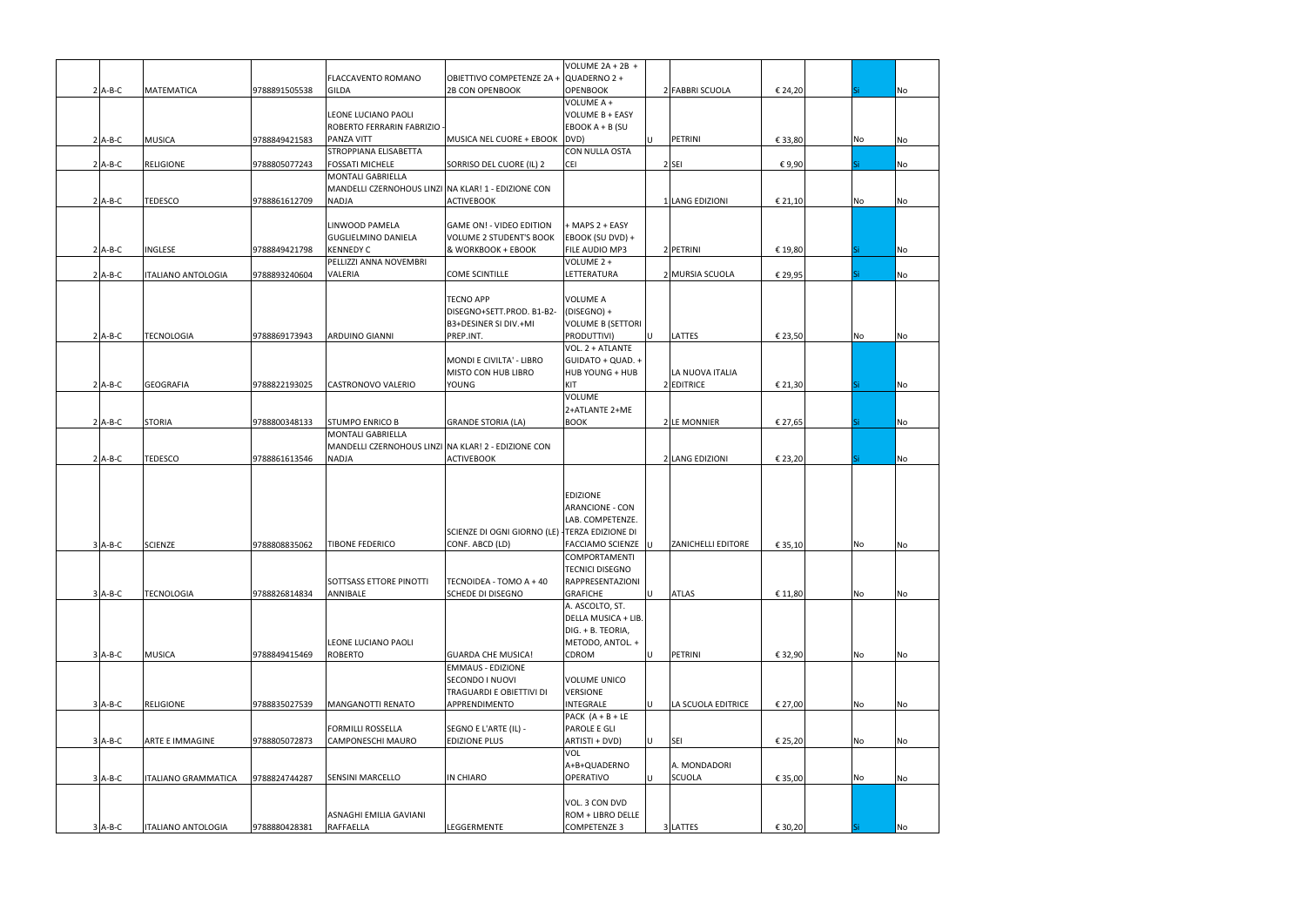|           |                            |               |                                                     |                                               | VOLUME $2A + 2B +$                       |     |                           |         |     |    |           |
|-----------|----------------------------|---------------|-----------------------------------------------------|-----------------------------------------------|------------------------------------------|-----|---------------------------|---------|-----|----|-----------|
|           |                            |               | FLACCAVENTO ROMANO                                  | OBIETTIVO COMPETENZE 2A + QUADERNO 2 +        |                                          |     |                           |         |     |    |           |
| $2$ A-B-C | <b>MATEMATICA</b>          | 9788891505538 | <b>GILDA</b>                                        | <b>2B CON OPENBOOK</b>                        | <b>OPENBOOK</b>                          |     | 2 FABBRI SCUOLA           | € 24,20 | Si. |    | No        |
|           |                            |               |                                                     |                                               | VOLUME A +                               |     |                           |         |     |    |           |
|           |                            |               | LEONE LUCIANO PAOLI                                 |                                               | VOLUME B + EASY                          |     |                           |         |     |    |           |
|           |                            |               | ROBERTO FERRARIN FABRIZIO                           |                                               | EBOOK A + B (SU                          |     |                           |         |     |    |           |
| $2$ A-B-C | <b>MUSICA</b>              | 9788849421583 | PANZA VITT                                          | MUSICA NEL CUORE + EBOOK DVD)                 |                                          | ΙU  | PETRINI                   | € 33,80 |     | No | No        |
|           |                            |               | STROPPIANA ELISABETTA                               |                                               | <b>CON NULLA OSTA</b>                    |     |                           |         |     |    |           |
| $2$ A-B-C | <b>RELIGIONE</b>           | 9788805077243 | <b>FOSSATI MICHELE</b>                              | SORRISO DEL CUORE (IL) 2                      | <b>CEI</b>                               |     | 2 SEI                     | €9,90   | Si  |    | No        |
|           |                            |               | <b>MONTALI GABRIELLA</b>                            |                                               |                                          |     |                           |         |     |    |           |
|           |                            |               | MANDELLI CZERNOHOUS LINZI NA KLAR! 1 - EDIZIONE CON |                                               |                                          |     |                           |         |     |    |           |
| $2$ A-B-C | <b>TEDESCO</b>             | 9788861612709 | <b>NADJA</b>                                        | <b>ACTIVEBOOK</b>                             |                                          |     | 1 LANG EDIZIONI           | € 21,10 |     | No | <b>No</b> |
|           |                            |               |                                                     |                                               |                                          |     |                           |         |     |    |           |
|           |                            |               | LINWOOD PAMELA                                      | <b>GAME ON! - VIDEO EDITION</b>               | + MAPS 2 + EASY                          |     |                           |         |     |    |           |
|           |                            |               | <b>GUGLIELMINO DANIELA</b>                          | <b>VOLUME 2 STUDENT'S BOOK</b>                | EBOOK (SU DVD) +                         |     |                           |         |     |    |           |
| $2$ A-B-C | INGLESE                    | 9788849421798 | <b>KENNEDY C</b>                                    | & WORKBOOK + EBOOK                            | <b>FILE AUDIO MP3</b>                    |     | 2 PETRINI                 | € 19,80 |     |    | No        |
|           |                            |               | PELLIZZI ANNA NOVEMBRI                              |                                               | VOLUME 2 +                               |     |                           |         |     |    |           |
| $2$ A-B-C |                            | 9788893240604 | VALERIA                                             | <b>COME SCINTILLE</b>                         | LETTERATURA                              |     | 2 MURSIA SCUOLA           | € 29,95 | Si. |    | <b>No</b> |
|           | <b>ITALIANO ANTOLOGIA</b>  |               |                                                     |                                               |                                          |     |                           |         |     |    |           |
|           |                            |               |                                                     | <b>TECNO APP</b>                              | <b>VOLUME A</b>                          |     |                           |         |     |    |           |
|           |                            |               |                                                     | DISEGNO+SETT.PROD. B1-B2-                     | (DISEGNO) +                              |     |                           |         |     |    |           |
|           |                            |               |                                                     |                                               |                                          |     |                           |         |     |    |           |
|           |                            |               |                                                     | B3+DESINER SI DIV.+MI                         | VOLUME B (SETTORI                        |     |                           |         |     |    |           |
| $2$ A-B-C | <b>TECNOLOGIA</b>          | 9788869173943 | <b>ARDUINO GIANNI</b>                               | PREP.INT.                                     | PRODUTTIVI)                              | ΙU  | LATTES                    | € 23,50 |     | No | No        |
|           |                            |               |                                                     |                                               | VOL. 2 + ATLANTE                         |     |                           |         |     |    |           |
|           |                            |               |                                                     | MONDI E CIVILTA' - LIBRO                      | GUIDATO + QUAD. +                        |     |                           |         |     |    |           |
|           |                            |               |                                                     | MISTO CON HUB LIBRO                           | <b>HUB YOUNG + HUB</b>                   |     | LA NUOVA ITALIA           |         |     |    |           |
| $2$ A-B-C | <b>GEOGRAFIA</b>           | 9788822193025 | CASTRONOVO VALERIO                                  | <b>YOUNG</b>                                  | KIT                                      |     | 2 EDITRICE                | € 21,30 |     |    | No        |
|           |                            |               |                                                     |                                               | <b>VOLUME</b>                            |     |                           |         |     |    |           |
|           |                            |               |                                                     |                                               | 2+ATLANTE 2+ME                           |     |                           |         |     |    |           |
| $2$ A-B-C | <b>STORIA</b>              | 9788800348133 | <b>STUMPO ENRICO B</b>                              | <b>GRANDE STORIA (LA)</b>                     | <b>BOOK</b>                              |     | 2 LE MONNIER              | € 27,65 |     |    | <b>No</b> |
|           |                            |               | <b>MONTALI GABRIELLA</b>                            |                                               |                                          |     |                           |         |     |    |           |
|           |                            |               | MANDELLI CZERNOHOUS LINZI NA KLAR! 2 - EDIZIONE CON |                                               |                                          |     |                           |         |     |    |           |
| $2$ A-B-C | <b>TEDESCO</b>             | 9788861613546 | <b>NADJA</b>                                        | <b>ACTIVEBOOK</b>                             |                                          |     | 2 LANG EDIZIONI           | € 23,20 |     |    | <b>No</b> |
|           |                            |               |                                                     |                                               |                                          |     |                           |         |     |    |           |
|           |                            |               |                                                     |                                               |                                          |     |                           |         |     |    |           |
|           |                            |               |                                                     |                                               | <b>EDIZIONE</b>                          |     |                           |         |     |    |           |
|           |                            |               |                                                     |                                               | <b>ARANCIONE - CON</b>                   |     |                           |         |     |    |           |
|           |                            |               |                                                     |                                               | LAB. COMPETENZE.                         |     |                           |         |     |    |           |
|           |                            |               |                                                     | SCIENZE DI OGNI GIORNO (LE) TERZA EDIZIONE DI |                                          |     |                           |         |     |    |           |
| $3$ A-B-C | <b>SCIENZE</b>             | 9788808835062 |                                                     |                                               |                                          |     |                           |         |     |    |           |
|           |                            |               | <b>TIBONE FEDERICO</b>                              | CONF. ABCD (LD)                               | <b>FACCIAMO SCIENZE U</b>                |     | <b>ZANICHELLI EDITORE</b> | € 35,10 |     | No | No        |
|           |                            |               |                                                     |                                               | <b>COMPORTAMENTI</b>                     |     |                           |         |     |    |           |
|           |                            |               |                                                     |                                               | <b>TECNICI DISEGNO</b>                   |     |                           |         |     |    |           |
|           |                            |               | SOTTSASS ETTORE PINOTTI                             | TECNOIDEA - TOMO A + 40                       | <b>RAPPRESENTAZIONI</b>                  |     |                           |         |     |    |           |
| $3$ A-B-C | <b>TECNOLOGIA</b>          | 9788826814834 | ANNIBALE                                            | <b>SCHEDE DI DISEGNO</b>                      | <b>GRAFICHE</b>                          | lul | <b>ATLAS</b>              | € 11,80 |     | No | No        |
|           |                            |               |                                                     |                                               | A. ASCOLTO, ST.                          |     |                           |         |     |    |           |
|           |                            |               |                                                     |                                               | DELLA MUSICA + LIB.                      |     |                           |         |     |    |           |
|           |                            |               |                                                     |                                               | DIG. + B. TEORIA,                        |     |                           |         |     |    |           |
|           |                            |               | LEONE LUCIANO PAOLI                                 |                                               | METODO, ANTOL. +                         |     |                           |         |     |    |           |
| $3$ A-B-C | <b>MUSICA</b>              | 9788849415469 | <b>ROBERTO</b>                                      | <b>GUARDA CHE MUSICA!</b>                     | <b>CDROM</b>                             | Iυ  | PETRINI                   | € 32,90 |     | No | No        |
|           |                            |               |                                                     | <b>EMMAUS - EDIZIONE</b>                      |                                          |     |                           |         |     |    |           |
|           |                            |               |                                                     | SECONDO I NUOVI                               | VOLUME UNICO                             |     |                           |         |     |    |           |
|           |                            |               |                                                     | TRAGUARDI E OBIETTIVI DI                      | <b>VERSIONE</b>                          |     |                           |         |     |    |           |
| $3$ A-B-C | <b>RELIGIONE</b>           | 9788835027539 | <b>MANGANOTTI RENATO</b>                            | APPRENDIMENTO                                 | INTEGRALE                                | ΙU  | LA SCUOLA EDITRICE        | € 27,00 |     | No | No        |
|           |                            |               |                                                     |                                               | PACK $(A + B + LE)$                      |     |                           |         |     |    |           |
|           |                            |               | <b>FORMILLI ROSSELLA</b>                            | SEGNO E L'ARTE (IL) -                         | PAROLE E GLI                             |     |                           |         |     |    |           |
| $3$ A-B-C | <b>ARTE E IMMAGINE</b>     | 9788805072873 | <b>CAMPONESCHI MAURO</b>                            | <b>EDIZIONE PLUS</b>                          | ARTISTI + DVD)                           | ΙU  | <b>SEI</b>                | € 25,20 |     | No | <b>No</b> |
|           |                            |               |                                                     |                                               | <b>VOL</b>                               |     |                           |         |     |    |           |
|           |                            |               |                                                     |                                               | A+B+QUADERNO                             |     | A. MONDADORI              |         |     |    |           |
| $3$ A-B-C | <b>ITALIANO GRAMMATICA</b> | 9788824744287 | SENSINI MARCELLO                                    | <b>IN CHIARO</b>                              | <b>OPERATIVO</b>                         | lul | <b>SCUOLA</b>             | € 35,00 |     | No | No        |
|           |                            |               |                                                     |                                               |                                          |     |                           |         |     |    |           |
|           |                            |               |                                                     |                                               | VOL. 3 CON DVD                           |     |                           |         |     |    |           |
| $3$ A-B-C |                            |               | ASNAGHI EMILIA GAVIANI                              | LEGGERMENTE                                   | ROM + LIBRO DELLE<br><b>COMPETENZE 3</b> |     | 3 LATTES                  | € 30,20 |     |    |           |